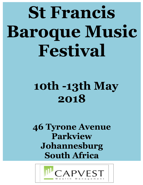# **St Francis Baroque Music Festival**

# **10th -13th May 2018**

# **46 Tyrone Avenue Parkview Johannesburg South Africa**

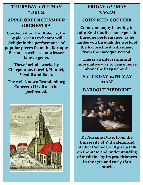#### **THURSDAY 10TH MAY 7:30PM**

#### **APPLE GREEN CHAMBER ORCHESTRA**

**Conducted by Tim Roberts, the Apple Green Orchestra will delight in the performance of popular pieces from the Baroque Period as well as some lesser known gems.**

**These include works by Charpentier, Corelli, Handel, Vivaldi and Bach.**

**The well-known Brandenburg Concerto II will also be performed.**



#### **FRIDAY 11TH MAY 7:30PM**

#### **JOHN REID COULTER**

**Come and enjoy listening to John Reid Coulter, an expert in Baroque performance, as he guides you through the world of the harpsichord with music from the Baroque Period.**

**This is an interesting and informative way to learn more about the harpsichord.**

**SATURDAY 12TH MAY 11AM**

#### **BAROQUE MEDICINE**



**Dr Adriano Duse, from the University of Witwatersrand Medical School, will give a talk on the state and understanding of medicine by its practitioners in the 17th and early 18th centuries.**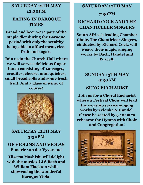### **SATURDAY 12TH MAY 12:30PM EATING IN BAROQUE TIMES**

**Bread and beer were part of the staple diet during the Baroque period with only the wealthy being able to afford meat, rice, fruit and sugar.**

**Join us in the Church Hall where we will serve a delicious finger lunch consisting of sausages, crudites, cheese, mini quiches, small bread rolls and some fresh fruit. And a glass of wine, of course!**



**SATURDAY 12TH MAY 3:30PM**

**OF VIOLINS AND VIOLAS Elmarie van der Vyver and** 

**Tiisetso Mashishi will delight with the music of J S Bach and William Flackton while showcasing the wonderful Baroque Viola.**

#### **SATURDAY 12TH MAY**

**7:30PM**

#### **RICHARD COCK AND THE CHANTICLEER SINGERS**

**South Africa's leading Chamber Choir, The Chanticleer Singers, cinducted by Richard Cock, will weave their magic, singing works by Bach, Handel and Purcell.**

#### **SUNDAY 13TH MAY 9:30AM**

#### **SUNG EUCHARIST**

**Join us for a Choral Eucharist where a Festival Choir will lead the worship service singing works by Zelenka & Handel. Please be seated by 9.10am to rehearse the Hymns with Choir and Congregation!**